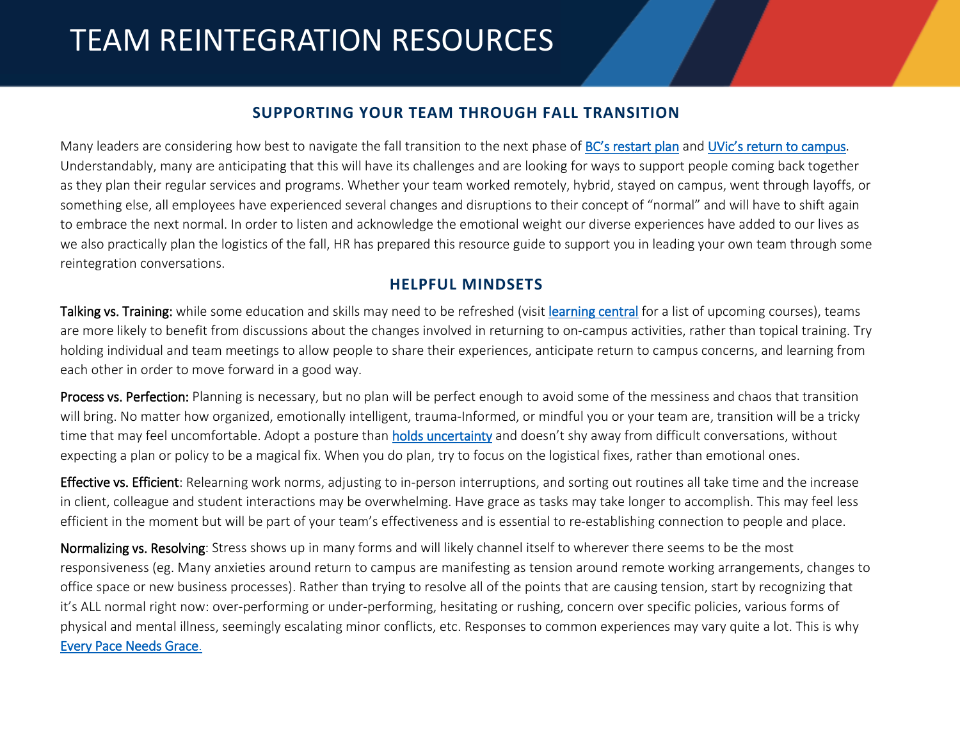## TEAM REINTEGRATION RESOURCES

## **SUPPORTING YOUR TEAM THROUGH FALL TRANSITION**

Many leaders are considering how best to navigate the fall transition to the next phase o[f BC's restart plan](https://www2.gov.bc.ca/gov/content/covid-19/info/restart) and [UVic's return to campus.](https://www.uvic.ca/hr/return-to-campus/index.php) Understandably, many are anticipating that this will have its challenges and are looking for ways to support people coming back together as they plan their regular services and programs. Whether your team worked remotely, hybrid, stayed on campus, went through layoffs, or something else, all employees have experienced several changes and disruptions to their concept of "normal" and will have to shift again to embrace the next normal. In order to listen and acknowledge the emotional weight our diverse experiences have added to our lives as we also practically plan the logistics of the fall, HR has prepared this resource guide to support you in leading your own team through some reintegration conversations.

## **HELPFUL MINDSETS**

Talking vs. Training: while some education and skills may need to be refreshed (visit [learning central](https://www.uvic.ca/hr/learning-development/learning_central/index.php) for a list of upcoming courses), teams are more likely to benefit from discussions about the changes involved in returning to on-campus activities, rather than topical training. Try holding individual and team meetings to allow people to share their experiences, anticipate return to campus concerns, and learning from each other in order to move forward in a good way.

Process vs. Perfection: Planning is necessary, but no plan will be perfect enough to avoid some of the messiness and chaos that transition will bring. No matter how organized, emotionally intelligent, trauma-Informed, or mindful you or your team are, transition will be a tricky time that may feel uncomfortable. Adopt a posture than [holds uncertainty](https://www.uvic.ca/hr/home/working-remotely/working-remotely-toolkit/leading-with-mental-health-in-mind/index.php) and doesn't shy away from difficult conversations, without expecting a plan or policy to be a magical fix. When you do plan, try to focus on the logistical fixes, rather than emotional ones.

Effective vs. Efficient: Relearning work norms, adjusting to in-person interruptions, and sorting out routines all take time and the increase in client, colleague and student interactions may be overwhelming. Have grace as tasks may take longer to accomplish. This may feel less efficient in the moment but will be part of your team's effectiveness and is essential to re-establishing connection to people and place.

Normalizing vs. Resolving: Stress shows up in many forms and will likely channel itself to wherever there seems to be the most responsiveness (eg. Many anxieties around return to campus are manifesting as tension around remote working arrangements, changes to office space or new business processes). Rather than trying to resolve all of the points that are causing tension, start by recognizing that it's ALL normal right now: over-performing or under-performing, hesitating or rushing, concern over specific policies, various forms of physical and mental illness, seemingly escalating minor conflicts, etc. Responses to common experiences may vary quite a lot. This is why [Every Pace Needs Grace.](https://www2.gov.bc.ca/assets/gov/covid-19/core-info/bcs-restart-theirownpace-poster-11x17.pdf)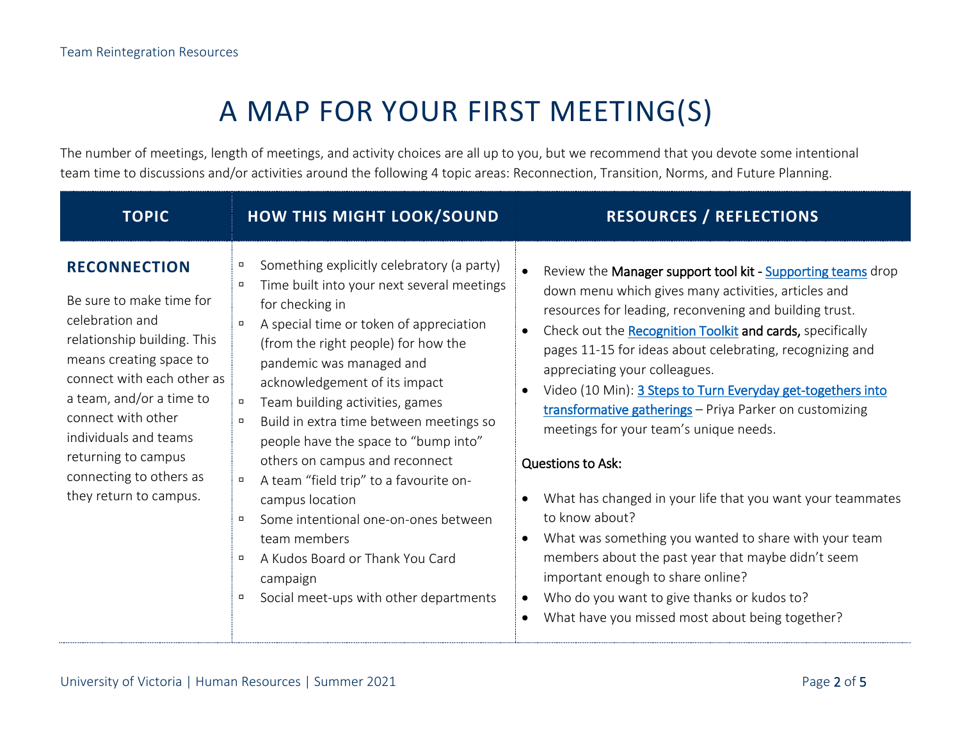## A MAP FOR YOUR FIRST MEETING(S)

The number of meetings, length of meetings, and activity choices are all up to you, but we recommend that you devote some intentional team time to discussions and/or activities around the following 4 topic areas: Reconnection, Transition, Norms, and Future Planning.

| <b>TOPIC</b>                                                                                                                                                                                                                                                                                                      | <b>HOW THIS MIGHT LOOK/SOUND</b>                                                                                                                                                                                                                                                                                                                                                                                                                                                                                                                                                                                                                                                                       | <b>RESOURCES / REFLECTIONS</b>                                                                                                                                                                                                                                                                                                                                                                                                                                                                                                                                                                                                                                                                                                                                                                                                                                               |
|-------------------------------------------------------------------------------------------------------------------------------------------------------------------------------------------------------------------------------------------------------------------------------------------------------------------|--------------------------------------------------------------------------------------------------------------------------------------------------------------------------------------------------------------------------------------------------------------------------------------------------------------------------------------------------------------------------------------------------------------------------------------------------------------------------------------------------------------------------------------------------------------------------------------------------------------------------------------------------------------------------------------------------------|------------------------------------------------------------------------------------------------------------------------------------------------------------------------------------------------------------------------------------------------------------------------------------------------------------------------------------------------------------------------------------------------------------------------------------------------------------------------------------------------------------------------------------------------------------------------------------------------------------------------------------------------------------------------------------------------------------------------------------------------------------------------------------------------------------------------------------------------------------------------------|
| <b>RECONNECTION</b><br>Be sure to make time for<br>celebration and<br>relationship building. This<br>means creating space to<br>connect with each other as<br>a team, and/or a time to<br>connect with other<br>individuals and teams<br>returning to campus<br>connecting to others as<br>they return to campus. | Something explicitly celebratory (a party)<br>$\Box$<br>Time built into your next several meetings<br>$\Box$<br>for checking in<br>A special time or token of appreciation<br>$\Box$<br>(from the right people) for how the<br>pandemic was managed and<br>acknowledgement of its impact<br>Team building activities, games<br>$\Box$<br>Build in extra time between meetings so<br>$\Box$<br>people have the space to "bump into"<br>others on campus and reconnect<br>A team "field trip" to a favourite on-<br>$\Box$<br>campus location<br>Some intentional one-on-ones between<br>team members<br>A Kudos Board or Thank You Card<br>$\Box$<br>campaign<br>Social meet-ups with other departments | Review the Manager support tool kit - Supporting teams drop<br>down menu which gives many activities, articles and<br>resources for leading, reconvening and building trust.<br>Check out the Recognition Toolkit and cards, specifically<br>pages 11-15 for ideas about celebrating, recognizing and<br>appreciating your colleagues.<br>Video (10 Min): 3 Steps to Turn Everyday get-togethers into<br>transformative gatherings - Priya Parker on customizing<br>meetings for your team's unique needs.<br><b>Questions to Ask:</b><br>What has changed in your life that you want your teammates<br>to know about?<br>What was something you wanted to share with your team<br>members about the past year that maybe didn't seem<br>important enough to share online?<br>Who do you want to give thanks or kudos to?<br>What have you missed most about being together? |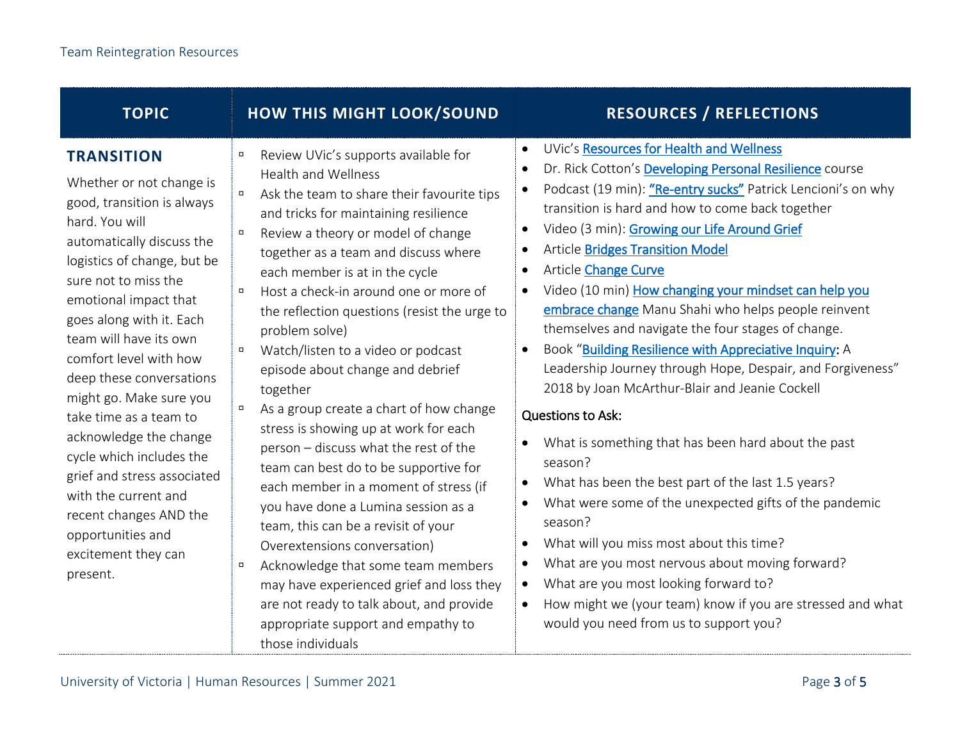| <b>TOPIC</b>                                                                                                                                                                                                                                                                                                                                                                                                                                                                                                                                                               | <b>HOW THIS MIGHT LOOK/SOUND</b>                                                                                                                                                                                                                                                                                                                                                                                                                                                                                                                                                                                                                                                                                                                                                                                                                                                                                                                                                                                                                                       | <b>RESOURCES / REFLECTIONS</b>                                                                                                                                                                                                                                                                                                                                                                                                                                                                                                                                                                                                                                                                                                                                                                                                                                                                                                                                                                                                                                                                                                                                                                                                                                                                                                                                   |
|----------------------------------------------------------------------------------------------------------------------------------------------------------------------------------------------------------------------------------------------------------------------------------------------------------------------------------------------------------------------------------------------------------------------------------------------------------------------------------------------------------------------------------------------------------------------------|------------------------------------------------------------------------------------------------------------------------------------------------------------------------------------------------------------------------------------------------------------------------------------------------------------------------------------------------------------------------------------------------------------------------------------------------------------------------------------------------------------------------------------------------------------------------------------------------------------------------------------------------------------------------------------------------------------------------------------------------------------------------------------------------------------------------------------------------------------------------------------------------------------------------------------------------------------------------------------------------------------------------------------------------------------------------|------------------------------------------------------------------------------------------------------------------------------------------------------------------------------------------------------------------------------------------------------------------------------------------------------------------------------------------------------------------------------------------------------------------------------------------------------------------------------------------------------------------------------------------------------------------------------------------------------------------------------------------------------------------------------------------------------------------------------------------------------------------------------------------------------------------------------------------------------------------------------------------------------------------------------------------------------------------------------------------------------------------------------------------------------------------------------------------------------------------------------------------------------------------------------------------------------------------------------------------------------------------------------------------------------------------------------------------------------------------|
| <b>TRANSITION</b><br>Whether or not change is<br>good, transition is always<br>hard. You will<br>automatically discuss the<br>logistics of change, but be<br>sure not to miss the<br>emotional impact that<br>goes along with it. Each<br>team will have its own<br>comfort level with how<br>deep these conversations<br>might go. Make sure you<br>take time as a team to<br>acknowledge the change<br>cycle which includes the<br>grief and stress associated<br>with the current and<br>recent changes AND the<br>opportunities and<br>excitement they can<br>present. | Review UVic's supports available for<br>$\Box$<br><b>Health and Wellness</b><br>Ask the team to share their favourite tips<br>$\Box$<br>and tricks for maintaining resilience<br>Review a theory or model of change<br>$\Box$<br>together as a team and discuss where<br>each member is at in the cycle<br>Host a check-in around one or more of<br>$\Box$<br>the reflection questions (resist the urge to<br>problem solve)<br>Watch/listen to a video or podcast<br>$\Box$<br>episode about change and debrief<br>together<br>As a group create a chart of how change<br>$\Box$<br>stress is showing up at work for each<br>person - discuss what the rest of the<br>team can best do to be supportive for<br>each member in a moment of stress (if<br>you have done a Lumina session as a<br>team, this can be a revisit of your<br>Overextensions conversation)<br>Acknowledge that some team members<br>$\Box$<br>may have experienced grief and loss they<br>are not ready to talk about, and provide<br>appropriate support and empathy to<br>those individuals | UVic's Resources for Health and Wellness<br>$\bullet$<br>Dr. Rick Cotton's Developing Personal Resilience course<br>$\bullet$<br>Podcast (19 min): "Re-entry sucks" Patrick Lencioni's on why<br>$\bullet$<br>transition is hard and how to come back together<br>Video (3 min): Growing our Life Around Grief<br>$\bullet$<br><b>Article Bridges Transition Model</b><br>$\bullet$<br><b>Article Change Curve</b><br>$\bullet$<br>Video (10 min) How changing your mindset can help you<br>embrace change Manu Shahi who helps people reinvent<br>themselves and navigate the four stages of change.<br>Book "Building Resilience with Appreciative Inquiry: A<br>$\bullet$<br>Leadership Journey through Hope, Despair, and Forgiveness"<br>2018 by Joan McArthur-Blair and Jeanie Cockell<br><b>Questions to Ask:</b><br>What is something that has been hard about the past<br>$\bullet$<br>season?<br>What has been the best part of the last 1.5 years?<br>$\bullet$<br>What were some of the unexpected gifts of the pandemic<br>$\bullet$<br>season?<br>What will you miss most about this time?<br>$\bullet$<br>What are you most nervous about moving forward?<br>$\bullet$<br>What are you most looking forward to?<br>$\bullet$<br>How might we (your team) know if you are stressed and what<br>$\bullet$<br>would you need from us to support you? |
|                                                                                                                                                                                                                                                                                                                                                                                                                                                                                                                                                                            |                                                                                                                                                                                                                                                                                                                                                                                                                                                                                                                                                                                                                                                                                                                                                                                                                                                                                                                                                                                                                                                                        |                                                                                                                                                                                                                                                                                                                                                                                                                                                                                                                                                                                                                                                                                                                                                                                                                                                                                                                                                                                                                                                                                                                                                                                                                                                                                                                                                                  |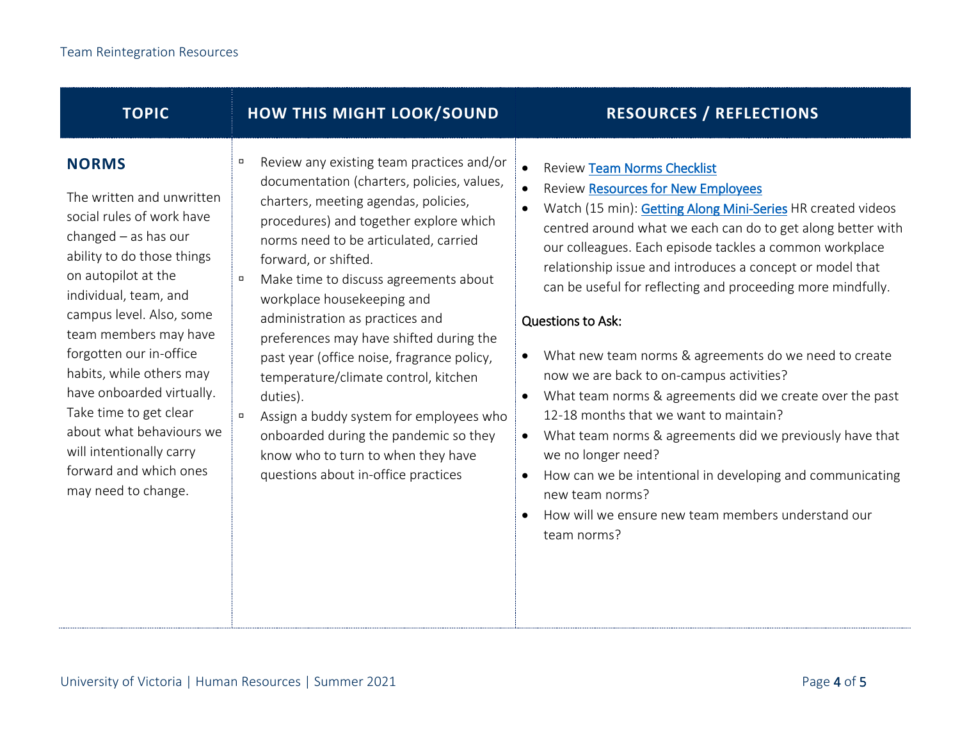| <b>TOPIC</b>                                                                                                                                                                                                                                                                                                                                                                                                                                               | <b>HOW THIS MIGHT LOOK/SOUND</b>                                                                                                                                                                                                                                                                                                                                                                                                                                                                                                                                                                                                                                                            | <b>RESOURCES / REFLECTIONS</b>                                                                                                                                                                                                                                                                                                                                                                                                                                                                                                                                                                                                                                                                                                                                                                                                                                                                                            |
|------------------------------------------------------------------------------------------------------------------------------------------------------------------------------------------------------------------------------------------------------------------------------------------------------------------------------------------------------------------------------------------------------------------------------------------------------------|---------------------------------------------------------------------------------------------------------------------------------------------------------------------------------------------------------------------------------------------------------------------------------------------------------------------------------------------------------------------------------------------------------------------------------------------------------------------------------------------------------------------------------------------------------------------------------------------------------------------------------------------------------------------------------------------|---------------------------------------------------------------------------------------------------------------------------------------------------------------------------------------------------------------------------------------------------------------------------------------------------------------------------------------------------------------------------------------------------------------------------------------------------------------------------------------------------------------------------------------------------------------------------------------------------------------------------------------------------------------------------------------------------------------------------------------------------------------------------------------------------------------------------------------------------------------------------------------------------------------------------|
| <b>NORMS</b><br>The written and unwritten<br>social rules of work have<br>changed $-$ as has our<br>ability to do those things<br>on autopilot at the<br>individual, team, and<br>campus level. Also, some<br>team members may have<br>forgotten our in-office<br>habits, while others may<br>have onboarded virtually.<br>Take time to get clear<br>about what behaviours we<br>will intentionally carry<br>forward and which ones<br>may need to change. | Review any existing team practices and/or<br>п<br>documentation (charters, policies, values,<br>charters, meeting agendas, policies,<br>procedures) and together explore which<br>norms need to be articulated, carried<br>forward, or shifted.<br>Make time to discuss agreements about<br>$\Box$<br>workplace housekeeping and<br>administration as practices and<br>preferences may have shifted during the<br>past year (office noise, fragrance policy,<br>temperature/climate control, kitchen<br>duties).<br>Assign a buddy system for employees who<br>$\Box$<br>onboarded during the pandemic so they<br>know who to turn to when they have<br>questions about in-office practices | <b>Review Team Norms Checklist</b><br><b>Review Resources for New Employees</b><br>Watch (15 min): Getting Along Mini-Series HR created videos<br>$\bullet$<br>centred around what we each can do to get along better with<br>our colleagues. Each episode tackles a common workplace<br>relationship issue and introduces a concept or model that<br>can be useful for reflecting and proceeding more mindfully.<br><b>Questions to Ask:</b><br>What new team norms & agreements do we need to create<br>now we are back to on-campus activities?<br>What team norms & agreements did we create over the past<br>12-18 months that we want to maintain?<br>What team norms & agreements did we previously have that<br>$\bullet$<br>we no longer need?<br>How can we be intentional in developing and communicating<br>$\bullet$<br>new team norms?<br>How will we ensure new team members understand our<br>team norms? |